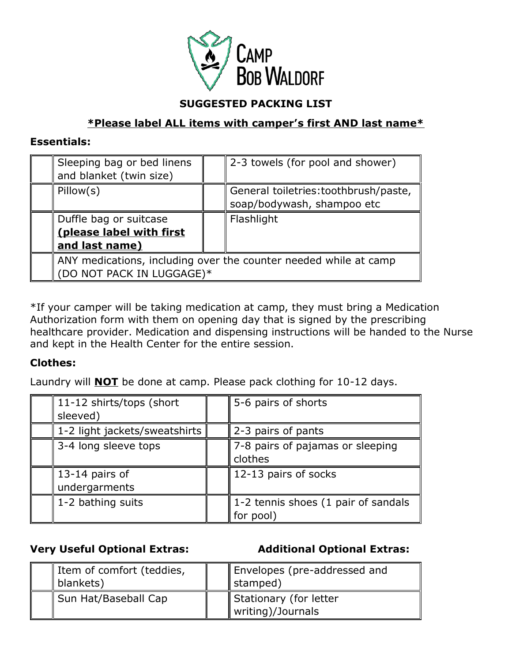

### **SUGGESTED PACKING LIST**

## **\*Please label ALL items with camper's first AND last name\***

#### **Essentials:**

| Sleeping bag or bed linens<br>and blanket (twin size)            |  | 2-3 towels (for pool and shower)                                    |  |
|------------------------------------------------------------------|--|---------------------------------------------------------------------|--|
| Pillow(s)                                                        |  | General toiletries: toothbrush/paste,<br>soap/bodywash, shampoo etc |  |
|                                                                  |  |                                                                     |  |
| Duffle bag or suitcase                                           |  | Flashlight                                                          |  |
| (please label with first                                         |  |                                                                     |  |
| and last name)                                                   |  |                                                                     |  |
| ANY medications, including over the counter needed while at camp |  |                                                                     |  |
| (DO NOT PACK IN LUGGAGE)*                                        |  |                                                                     |  |

\*If your camper will be taking medication at camp, they must bring a Medication Authorization form with them on opening day that is signed by the prescribing healthcare provider. Medication and dispensing instructions will be handed to the Nurse and kept in the Health Center for the entire session.

### **Clothes:**

Laundry will **NOT** be done at camp. Please pack clothing for 10-12 days.

| 11-12 shirts/tops (short      | 5-6 pairs of shorts                 |
|-------------------------------|-------------------------------------|
| sleeved)                      |                                     |
| 1-2 light jackets/sweatshirts | 2-3 pairs of pants                  |
| 3-4 long sleeve tops          | 7-8 pairs of pajamas or sleeping    |
|                               | clothes                             |
| 13-14 pairs of                | 12-13 pairs of socks                |
| undergarments                 |                                     |
| 1-2 bathing suits             | 1-2 tennis shoes (1 pair of sandals |
|                               | for pool)                           |

**Very Useful Optional Extras: Additional Optional Extras:**

| I Item of comfort (teddies,<br>$\parallel$ blankets) | Envelopes (pre-addressed and<br>   stamped) |
|------------------------------------------------------|---------------------------------------------|
| Sun Hat/Baseball Cap                                 | Stationary (for letter<br>writing)/Journals |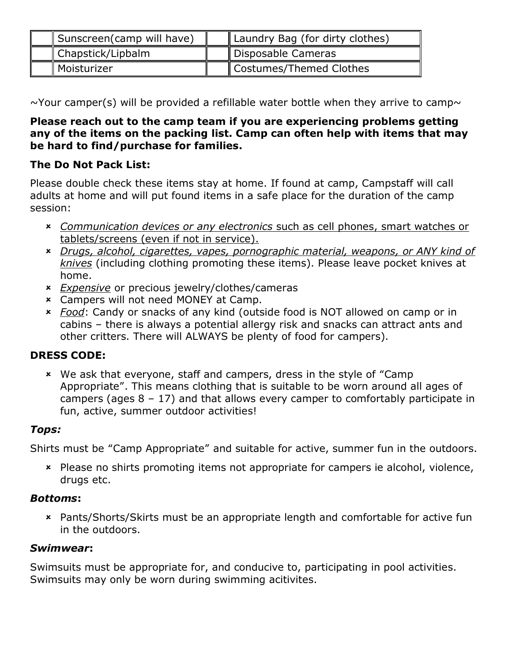| Sunscreen(camp will have)   | Laundry Bag (for dirty clothes) |
|-----------------------------|---------------------------------|
| Chapstick/Lipbalm           | Disposable Cameras              |
| $\mathbin\Vert$ Moisturizer | Costumes/Themed Clothes         |

 $\sim$ Your camper(s) will be provided a refillable water bottle when they arrive to camp $\sim$ 

### **Please reach out to the camp team if you are experiencing problems getting any of the items on the packing list. Camp can often help with items that may be hard to find/purchase for families.**

# **The Do Not Pack List:**

Please double check these items stay at home. If found at camp, Campstaff will call adults at home and will put found items in a safe place for the duration of the camp session:

- *Communication devices or any electronics* such as cell phones, smart watches or tablets/screens (even if not in service).
- *Drugs, alcohol, cigarettes, vapes, pornographic material, weapons, or ANY kind of knives* (including clothing promoting these items). Please leave pocket knives at home.
- *Expensive* or precious jewelry/clothes/cameras
- Campers will not need MONEY at Camp.
- *Food*: Candy or snacks of any kind (outside food is NOT allowed on camp or in cabins – there is always a potential allergy risk and snacks can attract ants and other critters. There will ALWAYS be plenty of food for campers).

# **DRESS CODE:**

 We ask that everyone, staff and campers, dress in the style of "Camp Appropriate". This means clothing that is suitable to be worn around all ages of campers (ages  $8 - 17$ ) and that allows every camper to comfortably participate in fun, active, summer outdoor activities!

# *Tops:*

Shirts must be "Camp Appropriate" and suitable for active, summer fun in the outdoors.

 Please no shirts promoting items not appropriate for campers ie alcohol, violence, drugs etc.

# *Bottoms***:**

 Pants/Shorts/Skirts must be an appropriate length and comfortable for active fun in the outdoors.

# *Swimwear***:**

Swimsuits must be appropriate for, and conducive to, participating in pool activities. Swimsuits may only be worn during swimming acitivites.